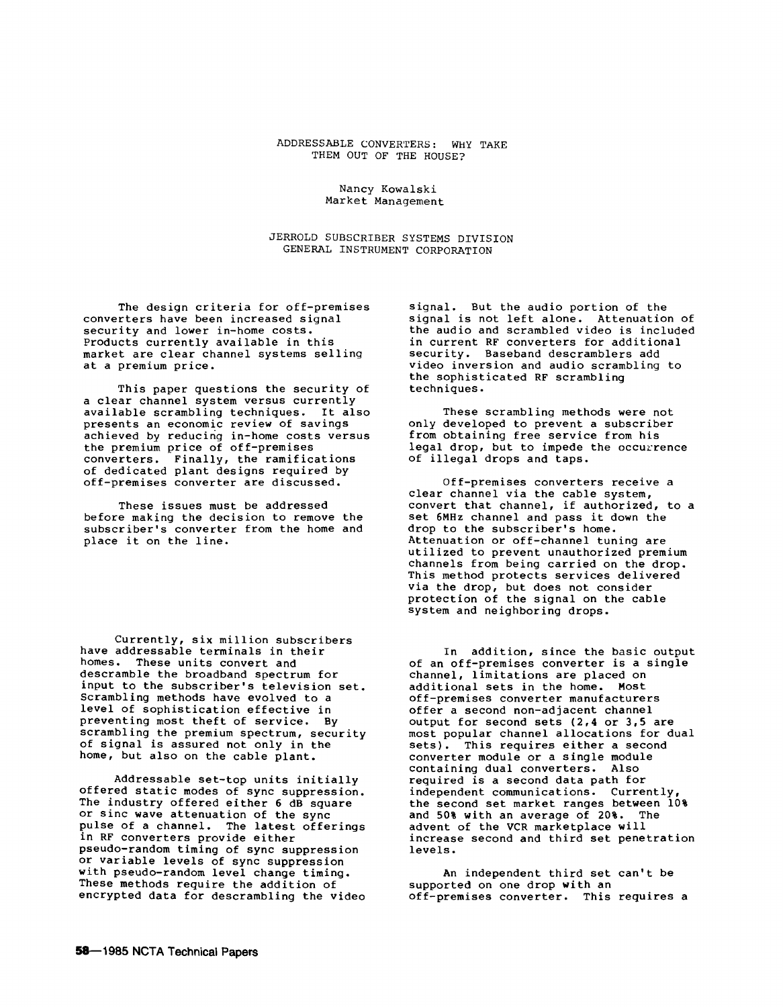## ADDRESSABLE CONVERTERS: WHY TAKE THEM OUT OF THE HOUSE?

## Nancy Kowalski Market Management

JERROLD SUBSCRIBER SYSTEMS DIVISION GENERAL INSTRUMENT CORPORATION

The design criteria for off-premises converters have been increased signal security and lower in-home costs. Products currently available in this market are clear channel systems selling at a premium price.

This paper questions the security of a clear channel system versus currently available scrambling techniques. It also presents an economic review of savings achieved by reducing in-home costs versus the premium price of off-premises converters. Finally, the ramifications of dedicated plant designs required by off-premises converter are discussed.

These issues must be addressed before making the decision to remove the subscriber's converter from the home and place it on the line.

Currently, six million subscribers have addressable terminals in their<br>homes. These units convert and These units convert and descramble the broadband spectrum for input to the subscriber's television set. Scrambling methods have evolved to a level of sophistication effective in preventing most theft of service. By scrambling the premium spectrum, security of signal is assured not only in the home, but also on the cable plant.

Addressable set-top units initially offered static modes of sync suppression. The industry offered either 6 dB square or sine wave attenuation of the sync pulse of a channel. The latest offerings in RF converters provide either pseudo-random timing of sync suppression or variable levels of sync suppression with pseudo-random level change timing. These methods require the addition of encrypted data for descrambling the video signal. But the audio portion of the signal is not left alone. Attenuation of the audio and scrambled video is included in current RF converters for additional security. Baseband descramblers add video inversion and audio scrambling to the sophisticated RF scrambling techniques.

These scrambling methods were not only developed to prevent a subscriber from obtaining free service from his legal drop, but to impede the occurrence of illegal drops and taps.

Off-premises converters receive a clear channel via the cable system, convert that channel, if authorized, to a set 6MHz channel and pass it down the drop to the subscriber's home. Attenuation or off-channel tuning are utilized to prevent unauthorized premium channels from being carried on the drop. This method protects services delivered via the drop, but does not consider protection of the signal on the cable system and neighboring drops.

In addition, since the basic output of an off-premises converter is a single channel, limitations are placed on additional sets in the home. Most off-premises converter manufacturers offer a second non-adjacent channel output for second sets (2,4 or 3,5 are most popular channel allocations for dual<br>sets). This requires either a second This requires either a second converter module or a single module containing dual converters. Also required is a second data path for independent communications. Currently, the second set market ranges between 10%<br>and 50% with an average of 20%. The and 50% with an average of  $20\%$ . advent of the VCR marketplace will increase second and third set penetration levels.

An independent third set can't be supported on one drop with an off-premises converter. This requires a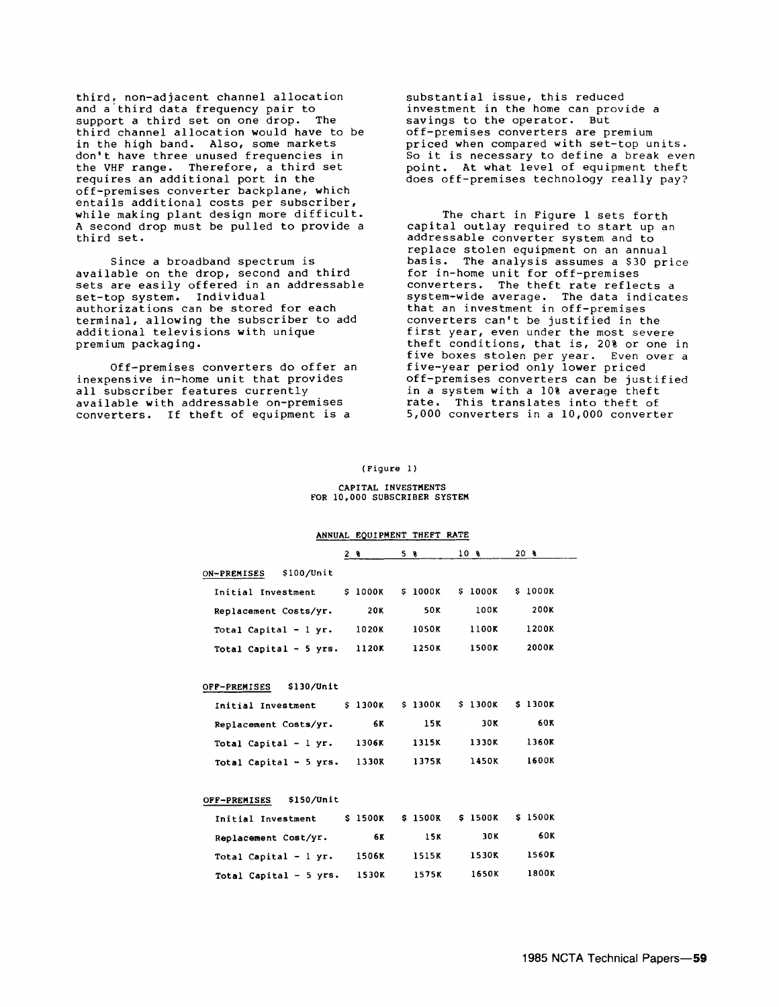third, non-adjacent channel allocation and a third data frequency pair to support a third set on one drop. The third channel allocation would have to be in the high band. Also, some markets don't have three unused frequencies in the VHF range. Therefore, a third set requires an additional port in the off-premises converter backplane, which entails additional costs per subscriber, while making plant design more difficult. A second drop must be pulled to provide a third set.

Since a broadband spectrum is available on the drop, second and third sets are easily offered in an addressable set-top system. Individual authorizations can be stored for each terminal, allowing the subscriber to add additional televisions with unique premium packaging.

Off-premises converters do offer an inexpensive in-home unit that provides all subscriber features currently available with addressable on-premises converters. If theft of equipment is a

substantial issue, this reduced investment in the home can provide a savings to the operator. But off-premises converters are premium priced when compared with set-top units. So it is necessary to define a break even point. At what level of equipment theft does off-premises technology really pay?

The chart in Figure 1 sets forth capital outlay required to start up an addressable converter system and to replace stolen equipment on an annual basis. The analysis assumes a \$30 price for in-home unit for off-premises converters. The theft rate reflects a system-wide average. The data indicates that an investment in off-premises converters can't be justified in the first year, even under the most severe theft conditions, that is,  $20\frac{8}{9}$  or one in five boxes stolen per year. Even over a five-year period only lower priced off-premises converters can be justified in a system with a 10% average theft rate. This translates into theft of 5,000 converters in a 10,000 converter

# (Figure l)

#### CAPITAL INVESTMENTS FOR 10,000 SUBSCRIBER SYSTEM

|                                       | ANNUAL EQUIPMENT THEFT RATE |                 |                |         |  |
|---------------------------------------|-----------------------------|-----------------|----------------|---------|--|
|                                       | 2 ક                         | 58              | 10 B           | 20 €    |  |
| \$100/Unit<br>ON-PREMISES             |                             |                 |                |         |  |
| Initial Investment                    | S 1000K                     | S 1000K         | <b>S 1000K</b> | \$1000K |  |
| Replacement Costs/yr.                 | 20K                         | 50K             | 100K           | 200K    |  |
| Total Capital $-1$ yr.                | 1020K                       | 1050K           | 1100K          | 1200K   |  |
| Total Capital - 5 yrs. $1120K$        |                             | 1250K           | 1500K          | 2000K   |  |
| OFF-PREMISES \$130/Unit               |                             |                 |                |         |  |
| Initial Investment                    | S 1300K                     | <b>\$ 1300K</b> | \$1300K        | \$1300K |  |
| Replacement Costs/yr.                 | 6K                          | 15K             | 30K            | 60K     |  |
| Total Capital - $1 \text{ yr.}$ 1306K |                             | 1315K           | 1330K          | 1360K   |  |
| Total Capital $-5$ yrs. 1330K         |                             | 1375K           | 1450K          | 1600K   |  |
| \$150/Unit<br>OFF-PREMISES            |                             |                 |                |         |  |
| Initial Investment                    | S 1500K                     | \$1500K         | \$1500K        | \$1500K |  |

| Initial Investment     | <b>S 1500K</b> | \$1500K | \$1500K | \$1500K      |
|------------------------|----------------|---------|---------|--------------|
| Replacement Cost/yr.   | 6 K            | 15K     | 30K     | 60K          |
| Total Capital $-1$ yr. | <b>1506K</b>   | 1515K   | 1530K   | <b>1560K</b> |
| Total Capital - 5 yrs. | <b>1530K</b>   | 1575K   | 1650K   | <b>1800K</b> |